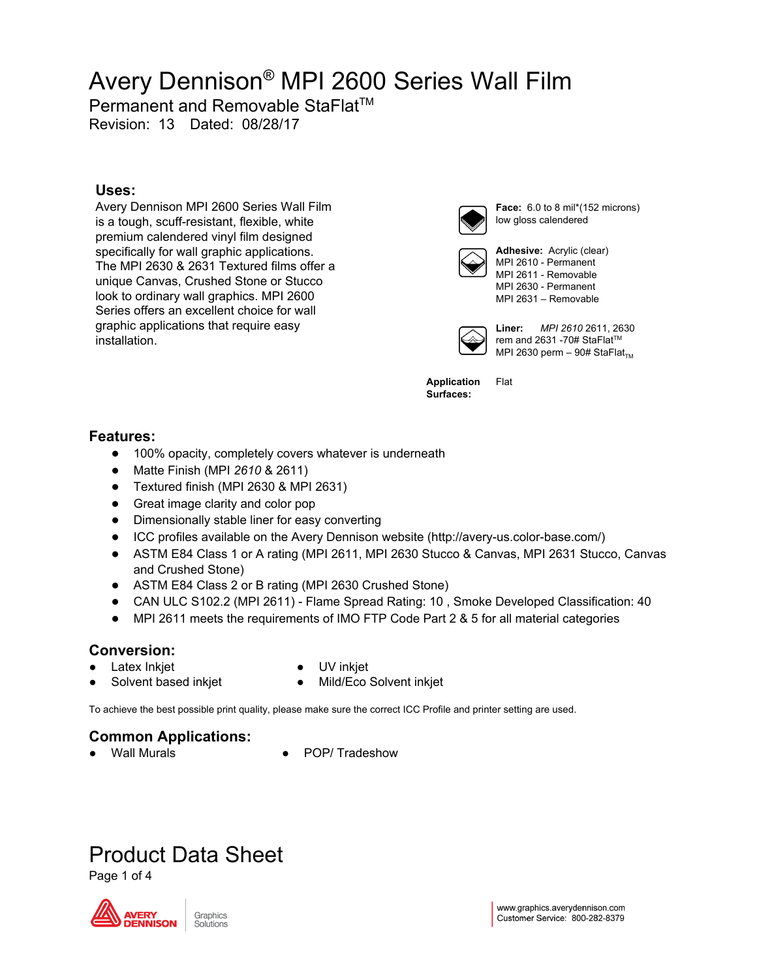Permanent and Removable StaFlat<sup>™</sup>

Revision: 13 Dated: 08/28/17

### **Uses:**

Avery Dennison MPI 2600 Series Wall Film is a tough, scuff-resistant, flexible, white premium calendered vinyl film designed specifically for wall graphic applications. The MPI 2630 & 2631 Textured films offer a unique Canvas, Crushed Stone or Stucco look to ordinary wall graphics. MPI 2600 Series offers an excellent choice for wall graphic applications that require easy installation.



**Face:** 6.0 to 8 mil\*(152 microns) low gloss calendered



**Adhesive:** Acrylic (clear) MPI 2610 - Permanent MPI 2611 - Removable MPI 2630 - Permanent MPI 2631 – Removable



**Liner:** *MPI 2610* 2611, 2630 rem and 2631 -70# StaFlat™ MPI 2630 perm  $-$  90# StaFlat<sub>TM</sub>

**Application Surfaces:** Flat

### **Features:**

- 100% opacity, completely covers whatever is underneath
- Matte Finish (MPI *2610* & 2611)
- Textured finish (MPI 2630 & MPI 2631)
- Great image clarity and color pop
- Dimensionally stable liner for easy converting
- ICC profiles available on the Avery Dennison website (http://avery-us.color-base.com/)
- ASTM E84 Class 1 or A rating (MPI 2611, MPI 2630 Stucco & Canvas, MPI 2631 Stucco, Canvas and Crushed Stone)
- ASTM E84 Class 2 or B rating (MPI 2630 Crushed Stone)
- CAN ULC S102.2 (MPI 2611) Flame Spread Rating: 10 , Smoke Developed Classification: 40
- MPI 2611 meets the requirements of IMO FTP Code Part 2 & 5 for all material categories

### **Conversion:**

Latex Inkjet

- UV inkjet
- Solvent based inkjet
- Mild/Eco Solvent inkjet

To achieve the best possible print quality, please make sure the correct ICC Profile and printer setting are used.

## **Common Applications:**

**POP/ Tradeshow** 

## Product Data Sheet

Page 1 of 4

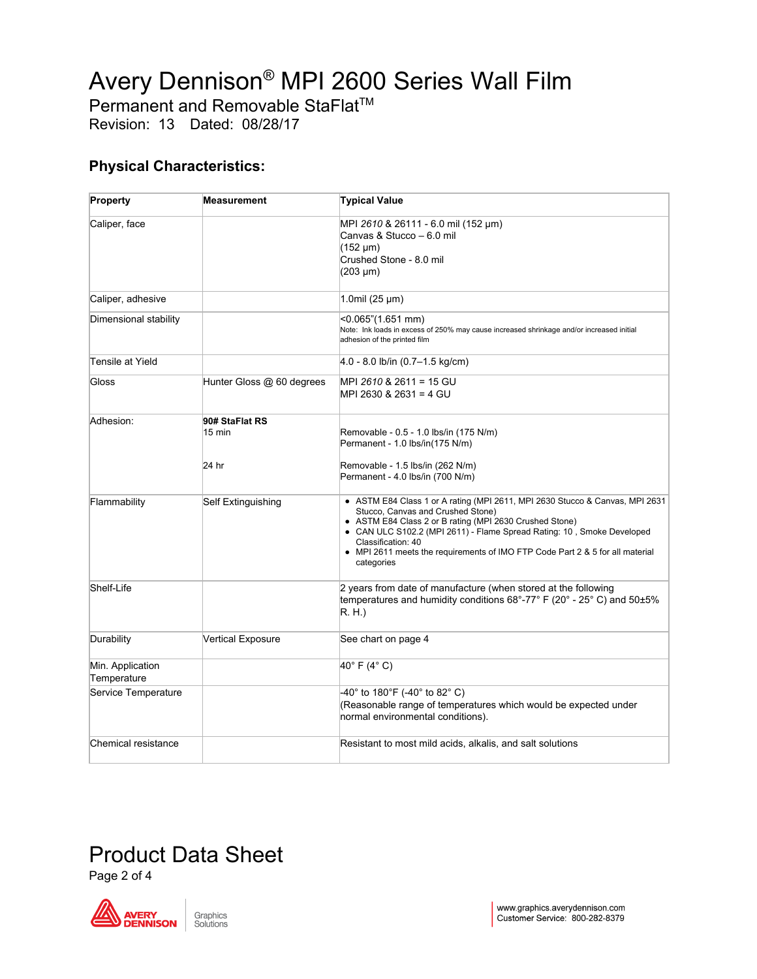Permanent and Removable StaFlat<sup>™</sup>

Revision: 13 Dated: 08/28/17

### **Physical Characteristics:**

| Property                        | <b>Measurement</b>        | <b>Typical Value</b>                                                                                                                                                                                                                                                                                                                                                        |
|---------------------------------|---------------------------|-----------------------------------------------------------------------------------------------------------------------------------------------------------------------------------------------------------------------------------------------------------------------------------------------------------------------------------------------------------------------------|
| Caliper, face                   |                           | MPI 2610 & 26111 - 6.0 mil (152 µm)<br>Canvas & Stucco - 6.0 mil<br>(152 um)<br>Crushed Stone - 8.0 mil<br>$(203 \mu m)$                                                                                                                                                                                                                                                    |
| Caliper, adhesive               |                           | 1.0mil (25 $\mu$ m)                                                                                                                                                                                                                                                                                                                                                         |
| Dimensional stability           |                           | <0.065"(1.651 mm)<br>Note: Ink loads in excess of 250% may cause increased shrinkage and/or increased initial<br>adhesion of the printed film                                                                                                                                                                                                                               |
| Tensile at Yield                |                           | 4.0 - 8.0 lb/in (0.7–1.5 kg/cm)                                                                                                                                                                                                                                                                                                                                             |
| Gloss                           | Hunter Gloss @ 60 degrees | MPI 2610 & 2611 = 15 GU<br>MPI 2630 & 2631 = 4 GU                                                                                                                                                                                                                                                                                                                           |
| Adhesion:                       | 90# StaFlat RS<br>15 min  | Removable - 0.5 - 1.0 lbs/in (175 N/m)<br>Permanent - 1.0 lbs/in(175 N/m)                                                                                                                                                                                                                                                                                                   |
|                                 | 24 hr                     | Removable - 1.5 lbs/in (262 N/m)<br>Permanent - 4.0 lbs/in (700 N/m)                                                                                                                                                                                                                                                                                                        |
| Flammability                    | Self Extinguishing        | • ASTM E84 Class 1 or A rating (MPI 2611, MPI 2630 Stucco & Canvas, MPI 2631<br>Stucco, Canvas and Crushed Stone)<br>• ASTM E84 Class 2 or B rating (MPI 2630 Crushed Stone)<br>• CAN ULC S102.2 (MPI 2611) - Flame Spread Rating: 10, Smoke Developed<br>Classification: 40<br>• MPI 2611 meets the requirements of IMO FTP Code Part 2 & 5 for all material<br>categories |
| Shelf-Life                      |                           | 2 years from date of manufacture (when stored at the following<br>temperatures and humidity conditions 68°-77° F (20° - 25° C) and 50±5%<br>R.H.)                                                                                                                                                                                                                           |
| Durability                      | Vertical Exposure         | See chart on page 4                                                                                                                                                                                                                                                                                                                                                         |
| Min. Application<br>Temperature |                           | 40°F (4°C)                                                                                                                                                                                                                                                                                                                                                                  |
| Service Temperature             |                           | -40° to 180°F (-40° to 82° C)<br>(Reasonable range of temperatures which would be expected under<br>normal environmental conditions).                                                                                                                                                                                                                                       |
| Chemical resistance             |                           | Resistant to most mild acids, alkalis, and salt solutions                                                                                                                                                                                                                                                                                                                   |

## Product Data Sheet

Page 2 of 4

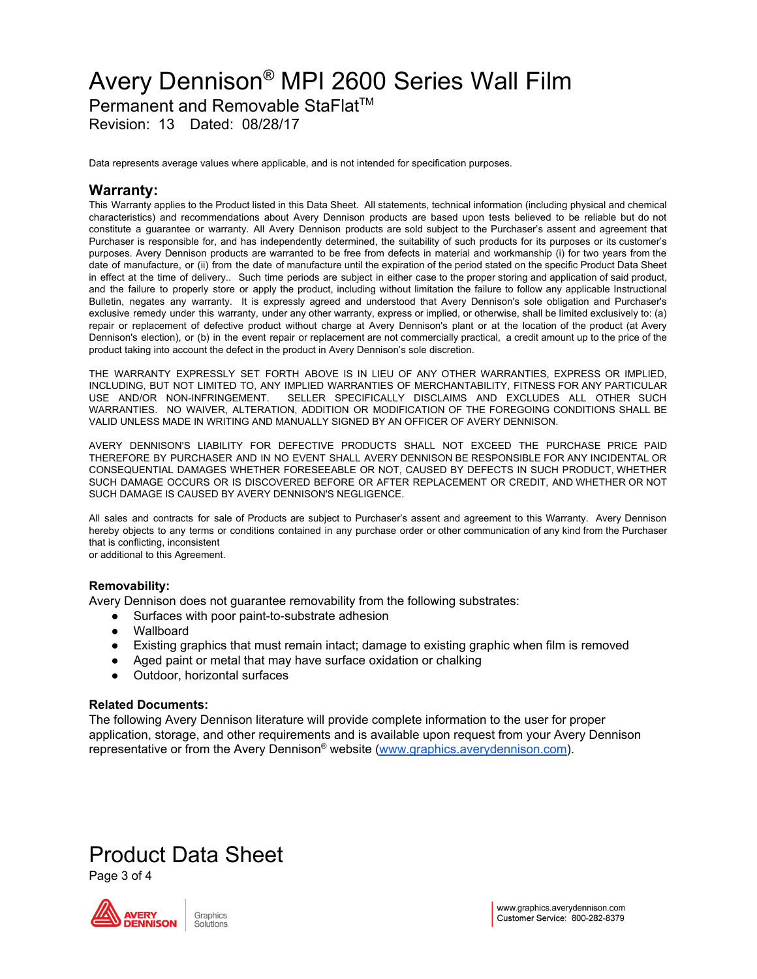Permanent and Removable StaFlat<sup>™</sup>

Revision: 13 Dated: 08/28/17

Data represents average values where applicable, and is not intended for specification purposes.

### **Warranty:**

This Warranty applies to the Product listed in this Data Sheet. All statements, technical information (including physical and chemical characteristics) and recommendations about Avery Dennison products are based upon tests believed to be reliable but do not constitute a guarantee or warranty. All Avery Dennison products are sold subject to the Purchaser's assent and agreement that Purchaser is responsible for, and has independently determined, the suitability of such products for its purposes or its customer's purposes. Avery Dennison products are warranted to be free from defects in material and workmanship (i) for two years from the date of manufacture, or (ii) from the date of manufacture until the expiration of the period stated on the specific Product Data Sheet in effect at the time of delivery.. Such time periods are subject in either case to the proper storing and application of said product, and the failure to properly store or apply the product, including without limitation the failure to follow any applicable Instructional Bulletin, negates any warranty. It is expressly agreed and understood that Avery Dennison's sole obligation and Purchaser's exclusive remedy under this warranty, under any other warranty, express or implied, or otherwise, shall be limited exclusively to: (a) repair or replacement of defective product without charge at Avery Dennison's plant or at the location of the product (at Avery Dennison's election), or (b) in the event repair or replacement are not commercially practical, a credit amount up to the price of the product taking into account the defect in the product in Avery Dennison's sole discretion.

THE WARRANTY EXPRESSLY SET FORTH ABOVE IS IN LIEU OF ANY OTHER WARRANTIES, EXPRESS OR IMPLIED, INCLUDING, BUT NOT LIMITED TO, ANY IMPLIED WARRANTIES OF MERCHANTABILITY, FITNESS FOR ANY PARTICULAR USE AND/OR NON-INFRINGEMENT. SELLER SPECIFICALLY DISCLAIMS AND EXCLUDES ALL OTHER SUCH WARRANTIES. NO WAIVER, ALTERATION, ADDITION OR MODIFICATION OF THE FOREGOING CONDITIONS SHALL BE VALID UNLESS MADE IN WRITING AND MANUALLY SIGNED BY AN OFFICER OF AVERY DENNISON.

AVERY DENNISON'S LIABILITY FOR DEFECTIVE PRODUCTS SHALL NOT EXCEED THE PURCHASE PRICE PAID THEREFORE BY PURCHASER AND IN NO EVENT SHALL AVERY DENNISON BE RESPONSIBLE FOR ANY INCIDENTAL OR CONSEQUENTIAL DAMAGES WHETHER FORESEEABLE OR NOT, CAUSED BY DEFECTS IN SUCH PRODUCT, WHETHER SUCH DAMAGE OCCURS OR IS DISCOVERED BEFORE OR AFTER REPLACEMENT OR CREDIT, AND WHETHER OR NOT SUCH DAMAGE IS CAUSED BY AVERY DENNISON'S NEGLIGENCE.

All sales and contracts for sale of Products are subject to Purchaser's assent and agreement to this Warranty. Avery Dennison hereby objects to any terms or conditions contained in any purchase order or other communication of any kind from the Purchaser that is conflicting, inconsistent or additional to this Agreement.

### **Removability:**

Avery Dennison does not guarantee removability from the following substrates:

- Surfaces with poor paint-to-substrate adhesion
- Wallboard
- Existing graphics that must remain intact; damage to existing graphic when film is removed
- Aged paint or metal that may have surface oxidation or chalking
- Outdoor, horizontal surfaces

#### **Related Documents:**

The following Avery Dennison literature will provide complete information to the user for proper application, storage, and other requirements and is available upon request from your Avery Dennison representative or from the Avery Dennison® website ([www.graphics.averydennison.com\)](http://www.graphics.averydennison.com/).

## Product Data Sheet

Page 3 of 4